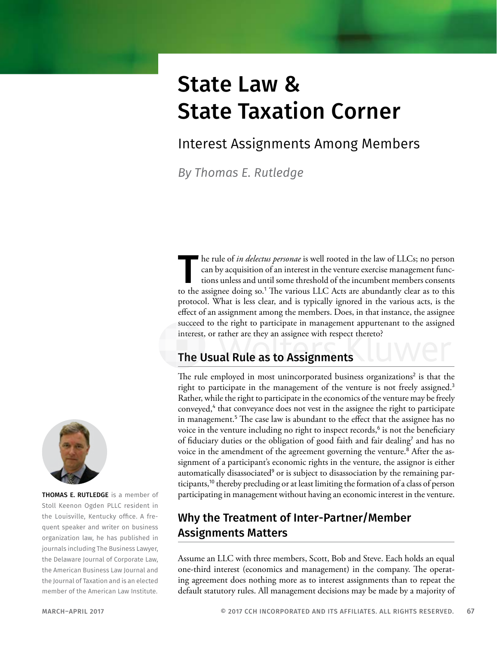# State Law & State Taxation Corner

## Interest Assignments Among Members

*By Thomas E. Rutledge*

The rule of *in delectus personae* is well rooted in the law of LLCs; no person can by acquisition of an interest in the venture exercise management functions unless and until some threshold of the incumbent members consents to the assignee doing so.<sup>1</sup> The various LLC Acts are abundantly clear as to this protocol. What is less clear, and is typically ignored in the various acts, is the effect of an assignment among the members. Does, in that instance, the assignee succeed to the right to participate in management appurtenant to the assigned interest, or rather are they an assignee with respect thereto?

#### The Usual Rule as to Assignments

The rule employed in most unincorporated business organizations<sup>2</sup> is that the right to participate in the management of the venture is not freely assigned.<sup>3</sup> Rather, while the right to participate in the economics of the venture may be freely conveyed,<sup>4</sup> that conveyance does not vest in the assignee the right to participate in management.<sup>5</sup> The case law is abundant to the effect that the assignee has no voice in the venture including no right to inspect records,<sup>6</sup> is not the beneficiary of fiduciary duties or the obligation of good faith and fair dealing<sup>7</sup> and has no voice in the amendment of the agreement governing the venture.<sup>8</sup> After the assignment of a participant's economic rights in the venture, the assignor is either automatically disassociated<sup>9</sup> or is subject to disassociation by the remaining participants,<sup>10</sup> thereby precluding or at least limiting the formation of a class of person participating in management without having an economic interest in the venture.

#### Why the Treatment of Inter-Partner/Member Assignments Matters

Assume an LLC with three members, Scott, Bob and Steve. Each holds an equal one-third interest (economics and management) in the company. The operating agreement does nothing more as to interest assignments than to repeat the default statutory rules. All management decisions may be made by a majority of



THOMAS E. RUTLEDGE is a member of Stoll Keenon Ogden PLLC resident in the Louisville, Kentucky office. A frequent speaker and writer on business organization law, he has published in journals including The Business Lawyer, the Delaware Journal of Corporate Law, the American Business Law Journal and the Journal of Taxation and is an elected member of the American Law Institute.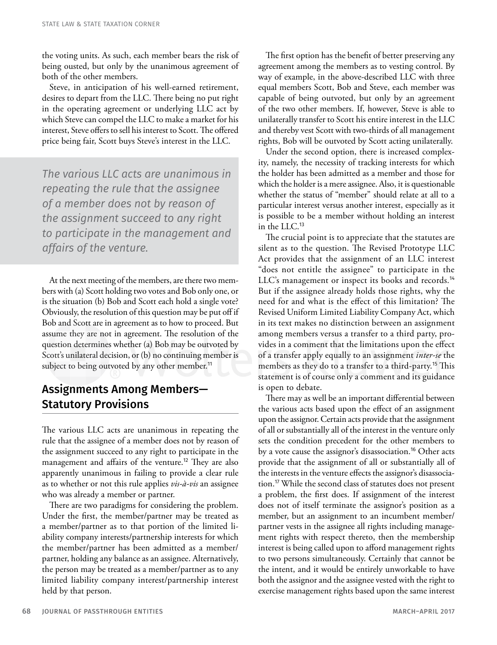the voting units. As such, each member bears the risk of being ousted, but only by the unanimous agreement of both of the other members.

Steve, in anticipation of his well-earned retirement, desires to depart from the LLC. There being no put right in the operating agreement or underlying LLC act by which Steve can compel the LLC to make a market for his interest, Steve offers to sell his interest to Scott. The offered price being fair, Scott buys Steve's interest in the LLC.

*The various LLC acts are unanimous in repeating the rule that the assignee of a member does not by reason of the assignment succeed to any right to participate in the management and affairs of the venture.*

At the next meeting of the members, are there two members with (a) Scott holding two votes and Bob only one, or is the situation (b) Bob and Scott each hold a single vote? Obviously, the resolution of this question may be put off if Bob and Scott are in agreement as to how to proceed. But assume they are not in agreement. The resolution of the question determines whether (a) Bob may be outvoted by Scott's unilateral decision, or (b) no continuing member is subject to being outvoted by any other member.<sup>11</sup>

#### Assignments Among Members— Statutory Provisions

The various LLC acts are unanimous in repeating the rule that the assignee of a member does not by reason of the assignment succeed to any right to participate in the management and affairs of the venture.<sup>12</sup> They are also apparently unanimous in failing to provide a clear rule as to whether or not this rule applies *vis-à-vis* an assignee who was already a member or partner.

There are two paradigms for considering the problem. Under the first, the member/partner may be treated as a member/partner as to that portion of the limited liability company interests/partnership interests for which the member/partner has been admitted as a member/ partner, holding any balance as an assignee. Alternatively, the person may be treated as a member/partner as to any limited liability company interest/partnership interest held by that person.

The first option has the benefit of better preserving any agreement among the members as to vesting control. By way of example, in the above-described LLC with three equal members Scott, Bob and Steve, each member was capable of being outvoted, but only by an agreement of the two other members. If, however, Steve is able to unilaterally transfer to Scott his entire interest in the LLC and thereby vest Scott with two-thirds of all management rights, Bob will be outvoted by Scott acting unilaterally.

Under the second option, there is increased complexity, namely, the necessity of tracking interests for which the holder has been admitted as a member and those for which the holder is a mere assignee. Also, it is questionable whether the status of "member" should relate at all to a particular interest versus another interest, especially as it is possible to be a member without holding an interest in the LLC.<sup>13</sup>

The crucial point is to appreciate that the statutes are silent as to the question. The Revised Prototype LLC Act provides that the assignment of an LLC interest "does not entitle the assignee" to participate in the LLC's management or inspect its books and records.<sup>14</sup> But if the assignee already holds those rights, why the need for and what is the effect of this limitation? The Revised Uniform Limited Liability Company Act, which in its text makes no distinction between an assignment among members versus a transfer to a third party, provides in a comment that the limitations upon the effect of a transfer apply equally to an assignment *inter-se* the members as they do to a transfer to a third-party.<sup>15</sup> This statement is of course only a comment and its guidance is open to debate.

There may as well be an important differential between the various acts based upon the effect of an assignment upon the assignor. Certain acts provide that the assignment of all or substantially all of the interest in the venture only sets the condition precedent for the other members to by a vote cause the assignor's disassociation.<sup>16</sup> Other acts provide that the assignment of all or substantially all of the interests in the venture effects the assignor's disassociation.<sup>17</sup> While the second class of statutes does not present a problem, the first does. If assignment of the interest does not of itself terminate the assignor's position as a member, but an assignment to an incumbent member/ partner vests in the assignee all rights including management rights with respect thereto, then the membership interest is being called upon to afford management rights to two persons simultaneously. Certainly that cannot be the intent, and it would be entirely unworkable to have both the assignor and the assignee vested with the right to exercise management rights based upon the same interest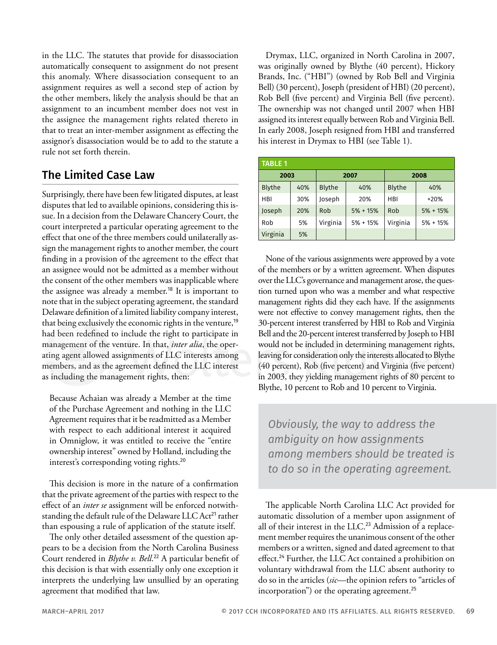in the LLC. The statutes that provide for disassociation automatically consequent to assignment do not present this anomaly. Where disassociation consequent to an assignment requires as well a second step of action by the other members, likely the analysis should be that an assignment to an incumbent member does not vest in the assignee the management rights related thereto in that to treat an inter-member assignment as effecting the assignor's disassociation would be to add to the statute a rule not set forth therein.

#### The Limited Case Law

Surprisingly, there have been few litigated disputes, at least disputes that led to available opinions, considering this issue. In a decision from the Delaware Chancery Court, the court interpreted a particular operating agreement to the effect that one of the three members could unilaterally assign the management rights to another member, the court finding in a provision of the agreement to the effect that an assignee would not be admitted as a member without the consent of the other members was inapplicable where the assignee was already a member.<sup>18</sup> It is important to note that in the subject operating agreement, the standard Delaware definition of a limited liability company interest, that being exclusively the economic rights in the venture,<sup>19</sup> had been redefined to include the right to participate in management of the venture. In that, *inter alia*, the operating agent allowed assignments of LLC interests among members, and as the agreement defined the LLC interest as including the management rights, then:

Because Achaian was already a Member at the time of the Purchase Agreement and nothing in the LLC Agreement requires that it be readmitted as a Member with respect to each additional interest it acquired in Omniglow, it was entitled to receive the "entire ownership interest" owned by Holland, including the interest's corresponding voting rights.<sup>20</sup>

This decision is more in the nature of a confirmation that the private agreement of the parties with respect to the effect of an *inter se* assignment will be enforced notwithstanding the default rule of the Delaware LLC Act<sup>21</sup> rather than espousing a rule of application of the statute itself.

The only other detailed assessment of the question appears to be a decision from the North Carolina Business Court rendered in *Blythe v. Bell*. <sup>22</sup> A particular benefit of this decision is that with essentially only one exception it interprets the underlying law unsullied by an operating agreement that modified that law.

Drymax, LLC, organized in North Carolina in 2007, was originally owned by Blythe (40 percent), Hickory Brands, Inc. ("HBI") (owned by Rob Bell and Virginia Bell) (30 percent), Joseph (president of HBI) (20 percent), Rob Bell (five percent) and Virginia Bell (five percent). The ownership was not changed until 2007 when HBI assigned its interest equally between Rob and Virginia Bell. In early 2008, Joseph resigned from HBI and transferred his interest in Drymax to HBI (see Table 1).

| <b>TABLE 1</b> |     |               |            |               |            |  |
|----------------|-----|---------------|------------|---------------|------------|--|
| 2003           |     | 2007          |            | 2008          |            |  |
| <b>Blythe</b>  | 40% | <b>Blythe</b> | 40%        | <b>Blythe</b> | 40%        |  |
| <b>HBI</b>     | 30% | Joseph        | 20%        | HBI           | $+20%$     |  |
| Joseph         | 20% | Rob           | $5% + 15%$ | Rob           | $5% + 15%$ |  |
| Rob            | 5%  | Virginia      | $5% + 15%$ | Virginia      | $5% + 15%$ |  |
| Virginia       | 5%  |               |            |               |            |  |

None of the various assignments were approved by a vote of the members or by a written agreement. When disputes over the LLC's governance and management arose, the question turned upon who was a member and what respective management rights did they each have. If the assignments were not effective to convey management rights, then the 30-percent interest transferred by HBI to Rob and Virginia Bell and the 20-percent interest transferred by Joseph to HBI would not be included in determining management rights, leaving for consideration only the interests allocated to Blythe (40 percent), Rob (five percent) and Virginia (five percent) in 2003, they yielding management rights of 80 percent to Blythe, 10 percent to Rob and 10 percent to Virginia.

*Obviously, the way to address the ambiguity on how assignments among members should be treated is to do so in the operating agreement.*

The applicable North Carolina LLC Act provided for automatic dissolution of a member upon assignment of all of their interest in the LLC.<sup>23</sup> Admission of a replacement member requires the unanimous consent of the other members or a written, signed and dated agreement to that effect.<sup>24</sup> Further, the LLC Act contained a prohibition on voluntary withdrawal from the LLC absent authority to do so in the articles (*sic*—the opinion refers to "articles of incorporation") or the operating agreement.<sup>25</sup>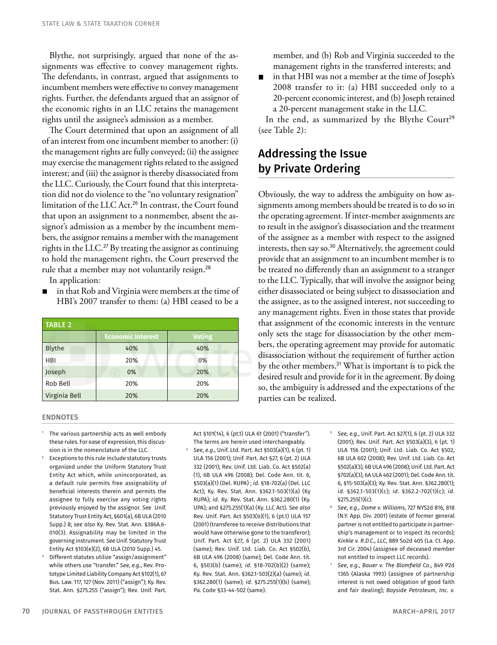Blythe, not surprisingly, argued that none of the assignments was effective to convey management rights. The defendants, in contrast, argued that assignments to incumbent members were effective to convey management rights. Further, the defendants argued that an assignor of the economic rights in an LLC retains the management rights until the assignee's admission as a member.

The Court determined that upon an assignment of all of an interest from one incumbent member to another: (i) the management rights are fully conveyed; (ii) the assignee may exercise the management rights related to the assigned interest; and (iii) the assignor is thereby disassociated from the LLC. Curiously, the Court found that this interpretation did not do violence to the "no voluntary resignation" limitation of the LLC Act.<sup>26</sup> In contrast, the Court found that upon an assignment to a nonmember, absent the assignor's admission as a member by the incumbent members, the assignor remains a member with the management rights in the LLC.<sup>27</sup> By treating the assignor as continuing to hold the management rights, the Court preserved the rule that a member may not voluntarily resign.<sup>28</sup>

In application:

in that Rob and Virginia were members at the time of HBI's 2007 transfer to them: (a) HBI ceased to be a

| <b>TABLE 2</b> |                          |               |  |  |  |  |
|----------------|--------------------------|---------------|--|--|--|--|
|                | <b>Economic Interest</b> | <b>Voting</b> |  |  |  |  |
| Blythe         | 40%                      | 40%           |  |  |  |  |
| <b>HBI</b>     | 20%                      | 0%            |  |  |  |  |
| Joseph         | 0%                       | 20%           |  |  |  |  |
| Rob Bell       | 20%                      | 20%           |  |  |  |  |
| Virginia Bell  | 20%                      | 20%           |  |  |  |  |

#### member, and (b) Rob and Virginia succeeded to the management rights in the transferred interests; and

in that HBI was not a member at the time of Joseph's 2008 transfer to it: (a) HBI succeeded only to a 20-percent economic interest, and (b) Joseph retained a 20-percent management stake in the LLC.

In the end, as summarized by the Blythe Court<sup>29</sup> (see Table 2):

### Addressing the Issue by Private Ordering

Obviously, the way to address the ambiguity on how assignments among members should be treated is to do so in the operating agreement. If inter-member assignments are to result in the assignor's disassociation and the treatment of the assignee as a member with respect to the assigned interests, then say so.<sup>30</sup> Alternatively, the agreement could provide that an assignment to an incumbent member is to be treated no differently than an assignment to a stranger to the LLC. Typically, that will involve the assignor being either disassociated or being subject to disassociation and the assignee, as to the assigned interest, not succeeding to any management rights. Even in those states that provide that assignment of the economic interests in the venture only sets the stage for disassociation by the other members, the operating agreement may provide for automatic disassociation without the requirement of further action by the other members.<sup>31</sup> What is important is to pick the desired result and provide for it in the agreement. By doing so, the ambiguity is addressed and the expectations of the parties can be realized.

#### **ENDNOTES**

- <sup>1</sup> The various partnership acts as well embody these rules. For ease of expression, this discussion is in the nomenclature of the LLC.
- $2^2$  Exceptions to this rule include statutory trusts organized under the Uniform Statutory Trust Entity Act which, while unincorporated, as a default rule permits free assignability of beneficial interests therein and permits the assignee to fully exercise any voting rights previously enjoyed by the assignor. *See* Unif. Statutory Trust Entity Act, §601(a), 6B ULA (2010 Supp.) 8; *see also* Ky. Rev. Stat. Ann. §386A.6- 010(3). Assignability may be limited in the governing instrument. *See* Unif. Statutory Trust Entity Act §103(e)(2), 6B ULA (2010 Supp.) 45.
- Different statutes utilize "assign/assignment" while others use "transfer." *See*, *e.g.*, Rev. Prototype Limited Liability Company Act §102(1), 67 Bus. Law. 117, 127 (Nov. 2011) ("assign"); Ky. Rev. Stat. Ann. §275.255 ("assign"); Rev. Unif. Part.

Act §101(14), 6 (pt.1) ULA 61 (2001) ("transfer"). The terms are herein used interchangeably.

- <sup>4</sup> *See*, *e.g*., Unif. Ltd. Part. Act §503(a)(1), 6 (pt. 1) ULA 156 (2001); Unif. Part. Act §27, 6 (pt. 2) ULA 332 (2001); Rev. Unif. Ltd. Liab. Co. Act §502(a) (1), 6B ULA 496 (2008); Del. Code Ann. tit. 6, §503(a)(1) (Del. RUPA) ; *id*. §18-702(a) (Del. LLC Act); Ky. Rev. Stat. Ann. §362.1-503(1)(a) (Ky RUPA); *id*. Ky. Rev. Stat. Ann. §362.280(1) (Ky. UPA); and §275.255(1)(a) (Ky. LLC Act). *See also* Rev. Unif. Part. Act §503(b)(1), 6 (pt.1) ULA 157 (2001) (transferee to receive distributions that would have otherwise gone to the transferor); Unif. Part. Act §27, 6 (pt. 2) ULA 332 (2001) (same); Rev. Unif. Ltd. Liab. Co. Act §502(b), 6B ULA 496 (2008) (same); Del. Code Ann. tit. 6, §503(b) (same); *id*. §18-702(b)(2) (same); Ky. Rev. Stat. Ann. §362.1-503(2)(a) (same); *id*. §362.280(1) (same); *id*. §275.255(1)(b) (same); Pa. Code §33-44-502 (same).
- <sup>5</sup> *See*, *e.g.*, Unif. Part. Act §27(1), 6 (pt. 2) ULA 332 (2001); Rev. Unif. Part. Act §503(a)(3), 6 (pt. 1) ULA 156 (2001); Unif. Ltd. Liab. Co. Act §502, 6B ULA 602 (2008); Rev. Unif. Ltd. Liab. Co. Act §502(a)(3), 6B ULA 496 (2008); Unif. Ltd. Part. Act §702(a)(3), 6A ULA 462 (2001); Del. Code Ann. tit. 6, §15-503(a)(3); Ky. Rev. Stat. Ann. §362.280(1); *id.* §362.1-503(1)(c); *id*. §362.2-702(1)(c); *id*. §275.255(1)(c).
- <sup>6</sup> *See*, *e.g*., *Dame v. Williams*, 727 NYS2d 816, 818 (N.Y. App. Div. 2001) (estate of former general partner is not entitled to participate in partnership's management or to inspect its records); *Kinkle v. R.D.C., LLC*, 889 So2d 405 (La. Ct. App. 3rd Cir. 2004) (assignee of deceased member not entitled to inspect LLC records).
- <sup>7</sup> *See*, *e.g.*, *Bauer v. The Blomfield Co*., 849 P2d 1365 (Alaska 1993) (assignee of partnership interest is not owed obligation of good faith and fair dealing); *Bayside Petroleum, Inc. v.*